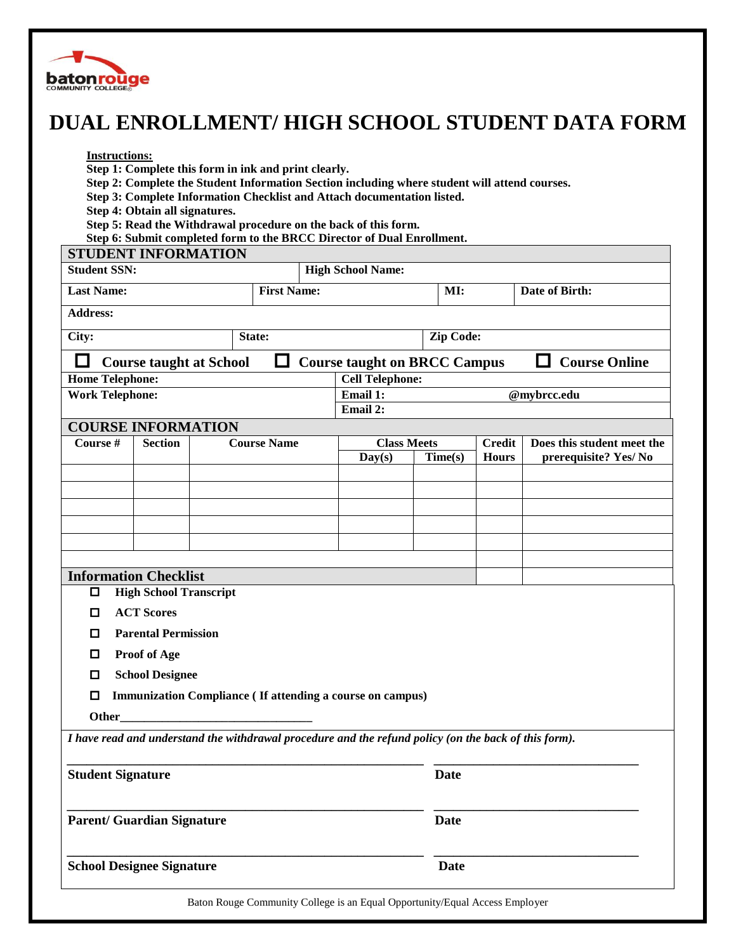

## **DUAL ENROLLMENT/ HIGH SCHOOL STUDENT DATA FORM**

## **Instructions:**

- **Step 1: Complete this form in ink and print clearly.**
- **Step 2: Complete the Student Information Section including where student will attend courses.**
- **Step 3: Complete Information Checklist and Attach documentation listed.**
- **Step 4: Obtain all signatures.**
- **Step 5: Read the Withdrawal procedure on the back of this form.**
- **Step 6: Submit completed form to the BRCC Director of Dual Enrollment. STUDENT INFORMATION**

| STUDENT INFORMATION                                                                                   |                |  |                    |                          |             |               |                            |  |
|-------------------------------------------------------------------------------------------------------|----------------|--|--------------------|--------------------------|-------------|---------------|----------------------------|--|
| <b>Student SSN:</b>                                                                                   |                |  |                    | <b>High School Name:</b> |             |               |                            |  |
| <b>Last Name:</b>                                                                                     |                |  | <b>First Name:</b> |                          | MI:         |               | Date of Birth:             |  |
| Address:                                                                                              |                |  |                    |                          |             |               |                            |  |
| City:<br>State:                                                                                       |                |  |                    |                          | Zip Code:   |               |                            |  |
| <b>Course Online</b><br><b>Course taught on BRCC Campus</b><br><b>Course taught at School</b>         |                |  |                    |                          |             |               |                            |  |
| <b>Cell Telephone:</b><br><b>Home Telephone:</b>                                                      |                |  |                    |                          |             |               |                            |  |
| <b>Work Telephone:</b>                                                                                |                |  |                    | Email 1:                 | @mybrcc.edu |               |                            |  |
| Email 2:                                                                                              |                |  |                    |                          |             |               |                            |  |
| <b>COURSE INFORMATION</b>                                                                             |                |  |                    |                          |             |               |                            |  |
| Course #                                                                                              | <b>Section</b> |  | <b>Course Name</b> | <b>Class Meets</b>       |             | <b>Credit</b> | Does this student meet the |  |
|                                                                                                       |                |  |                    | Day(s)                   | Time(s)     | <b>Hours</b>  | prerequisite? Yes/No       |  |
|                                                                                                       |                |  |                    |                          |             |               |                            |  |
|                                                                                                       |                |  |                    |                          |             |               |                            |  |
|                                                                                                       |                |  |                    |                          |             |               |                            |  |
|                                                                                                       |                |  |                    |                          |             |               |                            |  |
|                                                                                                       |                |  |                    |                          |             |               |                            |  |
| <b>Information Checklist</b>                                                                          |                |  |                    |                          |             |               |                            |  |
| <b>High School Transcript</b><br>□                                                                    |                |  |                    |                          |             |               |                            |  |
| <b>ACT Scores</b><br>□                                                                                |                |  |                    |                          |             |               |                            |  |
| <b>Parental Permission</b><br>□                                                                       |                |  |                    |                          |             |               |                            |  |
| <b>Proof of Age</b><br>O                                                                              |                |  |                    |                          |             |               |                            |  |
| <b>School Designee</b><br>□                                                                           |                |  |                    |                          |             |               |                            |  |
| Immunization Compliance ( If attending a course on campus)<br>◻                                       |                |  |                    |                          |             |               |                            |  |
| Other                                                                                                 |                |  |                    |                          |             |               |                            |  |
|                                                                                                       |                |  |                    |                          |             |               |                            |  |
| I have read and understand the withdrawal procedure and the refund policy (on the back of this form). |                |  |                    |                          |             |               |                            |  |
|                                                                                                       |                |  |                    |                          |             |               |                            |  |
| <b>Student Signature</b>                                                                              |                |  |                    |                          | <b>Date</b> |               |                            |  |
|                                                                                                       |                |  |                    |                          |             |               |                            |  |
| <b>Parent/ Guardian Signature</b>                                                                     |                |  |                    |                          | <b>Date</b> |               |                            |  |
|                                                                                                       |                |  |                    |                          |             |               |                            |  |
| <b>School Designee Signature</b>                                                                      |                |  |                    |                          | <b>Date</b> |               |                            |  |
|                                                                                                       |                |  |                    |                          |             |               |                            |  |
| Baton Rouge Community College is an Equal Opportunity/Equal Access Employer                           |                |  |                    |                          |             |               |                            |  |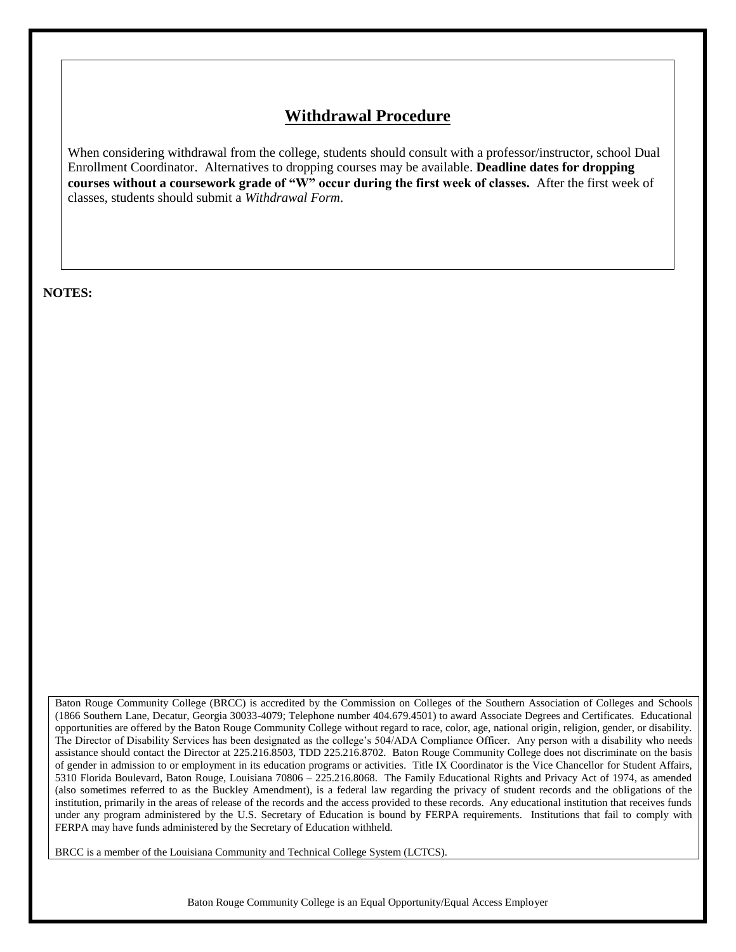## **Withdrawal Procedure**

When considering withdrawal from the college, students should consult with a professor/instructor, school Dual Enrollment Coordinator. Alternatives to dropping courses may be available. **Deadline dates for dropping courses without a coursework grade of "W" occur during the first week of classes.** After the first week of classes, students should submit a *Withdrawal Form*.

**NOTES:**

Baton Rouge Community College (BRCC) is accredited by the Commission on Colleges of the Southern Association of Colleges and Schools (1866 Southern Lane, Decatur, Georgia 30033-4079; Telephone number 404.679.4501) to award Associate Degrees and Certificates. Educational opportunities are offered by the Baton Rouge Community College without regard to race, color, age, national origin, religion, gender, or disability. The Director of Disability Services has been designated as the college's 504/ADA Compliance Officer. Any person with a disability who needs assistance should contact the Director at 225.216.8503, TDD 225.216.8702. Baton Rouge Community College does not discriminate on the basis of gender in admission to or employment in its education programs or activities. Title IX Coordinator is the Vice Chancellor for Student Affairs, 5310 Florida Boulevard, Baton Rouge, Louisiana 70806 – 225.216.8068. The Family Educational Rights and Privacy Act of 1974, as amended (also sometimes referred to as the Buckley Amendment), is a federal law regarding the privacy of student records and the obligations of the institution, primarily in the areas of release of the records and the access provided to these records. Any educational institution that receives funds under any program administered by the U.S. Secretary of Education is bound by FERPA requirements. Institutions that fail to comply with FERPA may have funds administered by the Secretary of Education withheld.

BRCC is a member of the Louisiana Community and Technical College System (LCTCS).

Baton Rouge Community College is an Equal Opportunity/Equal Access Employer